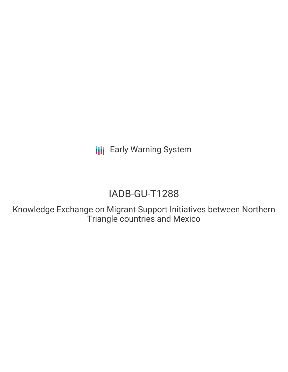**III** Early Warning System

# IADB-GU-T1288

Knowledge Exchange on Migrant Support Initiatives between Northern Triangle countries and Mexico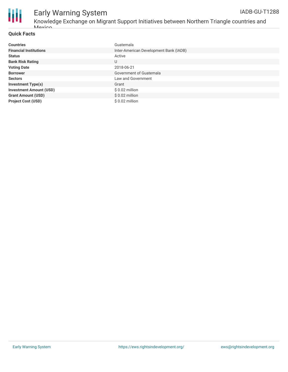

# Early Warning System

#### **Quick Facts**

Mavico

| <b>Countries</b>               | Guatemala                              |
|--------------------------------|----------------------------------------|
| <b>Financial Institutions</b>  | Inter-American Development Bank (IADB) |
| <b>Status</b>                  | Active                                 |
| <b>Bank Risk Rating</b>        | U                                      |
| <b>Voting Date</b>             | 2018-06-21                             |
| <b>Borrower</b>                | Government of Guatemala                |
| <b>Sectors</b>                 | Law and Government                     |
| <b>Investment Type(s)</b>      | Grant                                  |
| <b>Investment Amount (USD)</b> | $$0.02$ million                        |
| <b>Grant Amount (USD)</b>      | $$0.02$ million                        |
| <b>Project Cost (USD)</b>      | $$0.02$ million                        |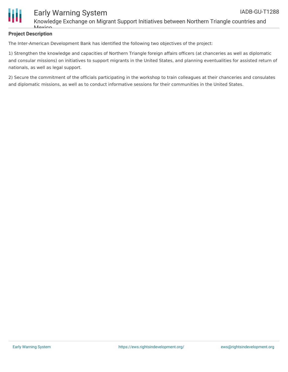

## Early Warning System

Knowledge Exchange on Migrant Support Initiatives between Northern Triangle countries and *Mavion* 

### **Project Description**

The Inter-American Development Bank has identified the following two objectives of the project:

1) Strengthen the knowledge and capacities of Northern Triangle foreign affairs officers (at chanceries as well as diplomatic and consular missions) on initiatives to support migrants in the United States, and planning eventualities for assisted return of nationals, as well as legal support.

2) Secure the commitment of the officials participating in the workshop to train colleagues at their chanceries and consulates and diplomatic missions, as well as to conduct informative sessions for their communities in the United States.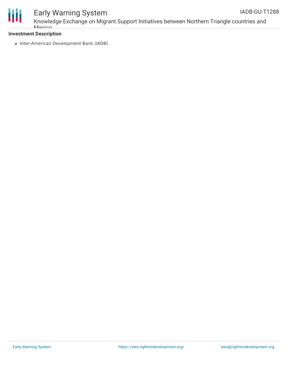

### Early Warning System

Knowledge Exchange on Migrant Support Initiatives between Northern Triangle countries and **Mavion** 

### **Investment Description**

• Inter-American Development Bank (IADB)